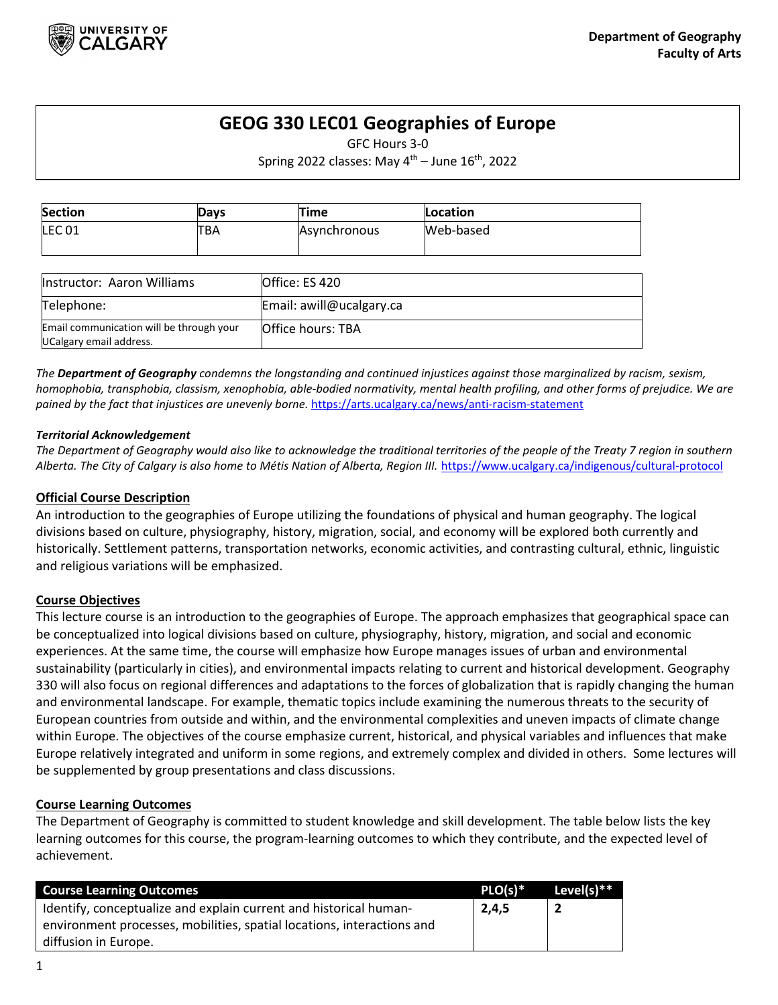

# **GEOG 330 LEC01 Geographies of Europe**

GFC Hours 3-0

Spring 2022 classes: May  $4^{th}$  – June  $16^{th}$ , 2022

| <b>Section</b>    | Days       | Time                | Location  |  |
|-------------------|------------|---------------------|-----------|--|
| LEC <sub>01</sub> | <b>TBA</b> | <b>Asynchronous</b> | Web-based |  |

| <b>Instructor: Aaron Williams</b>                                   | lOffice: ES 420          |
|---------------------------------------------------------------------|--------------------------|
| Telephone:                                                          | Email: awill@ucalgary.ca |
| Email communication will be through your<br>UCalgary email address. | Office hours: TBA        |

*The Department of Geography condemns the longstanding and continued injustices against those marginalized by racism, sexism, homophobia, transphobia, classism, xenophobia, able-bodied normativity, mental health profiling, and other forms of prejudice. We are pained by the fact that injustices are unevenly borne.* <https://arts.ucalgary.ca/news/anti-racism-statement>

## *Territorial Acknowledgement*

*The Department of Geography would also like to acknowledge the traditional territories of the people of the Treaty 7 region in southern Alberta. The City of Calgary is also home to Métis Nation of Alberta, Region III.* <https://www.ucalgary.ca/indigenous/cultural-protocol>

# **Official Course Description**

An introduction to the geographies of Europe utilizing the foundations of physical and human geography. The logical divisions based on culture, physiography, history, migration, social, and economy will be explored both currently and historically. Settlement patterns, transportation networks, economic activities, and contrasting cultural, ethnic, linguistic and religious variations will be emphasized.

# **Course Objectives**

This lecture course is an introduction to the geographies of Europe. The approach emphasizes that geographical space can be conceptualized into logical divisions based on culture, physiography, history, migration, and social and economic experiences. At the same time, the course will emphasize how Europe manages issues of urban and environmental sustainability (particularly in cities), and environmental impacts relating to current and historical development. Geography 330 will also focus on regional differences and adaptations to the forces of globalization that is rapidly changing the human and environmental landscape. For example, thematic topics include examining the numerous threats to the security of European countries from outside and within, and the environmental complexities and uneven impacts of climate change within Europe. The objectives of the course emphasize current, historical, and physical variables and influences that make Europe relatively integrated and uniform in some regions, and extremely complex and divided in others. Some lectures will be supplemented by group presentations and class discussions.

## **Course Learning Outcomes**

The Department of Geography is committed to student knowledge and skill development. The table below lists the key learning outcomes for this course, the program-learning outcomes to which they contribute, and the expected level of achievement.

| <b>Course Learning Outcomes</b>                                        | $PLO(s)*$ | Level(s)** |
|------------------------------------------------------------------------|-----------|------------|
| Identify, conceptualize and explain current and historical human-      | 2,4,5     |            |
| environment processes, mobilities, spatial locations, interactions and |           |            |
| diffusion in Europe.                                                   |           |            |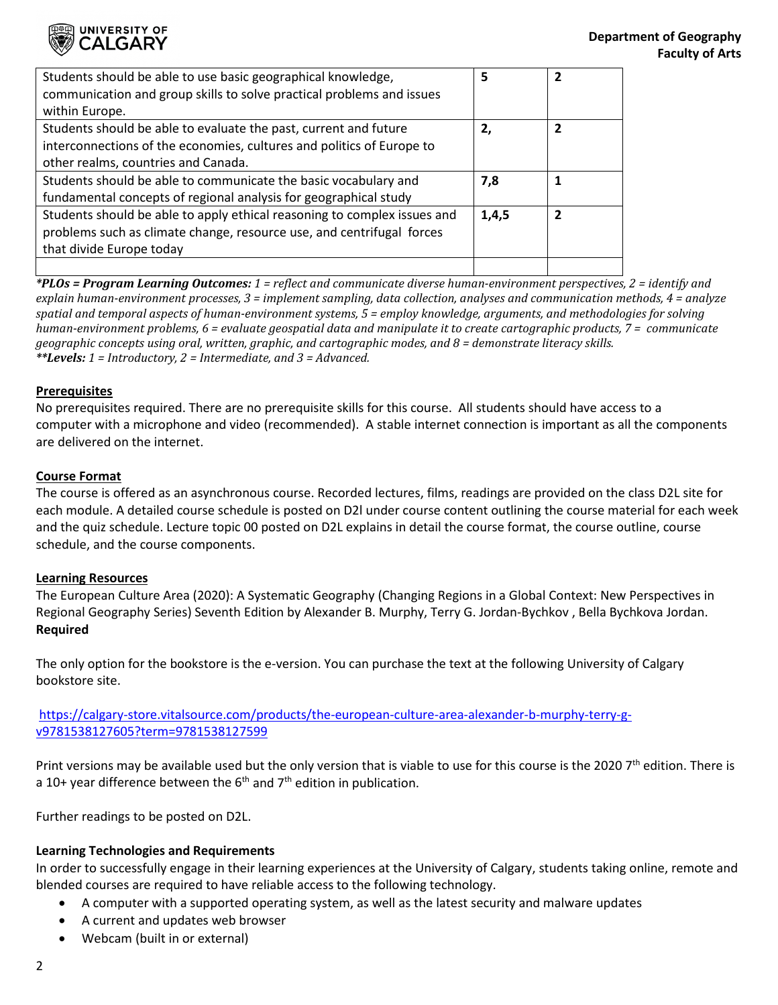

| Students should be able to use basic geographical knowledge,             | 5     | 2              |
|--------------------------------------------------------------------------|-------|----------------|
| communication and group skills to solve practical problems and issues    |       |                |
| within Europe.                                                           |       |                |
| Students should be able to evaluate the past, current and future         | 2,    | $\overline{2}$ |
| interconnections of the economies, cultures and politics of Europe to    |       |                |
| other realms, countries and Canada.                                      |       |                |
| Students should be able to communicate the basic vocabulary and          | 7,8   |                |
| fundamental concepts of regional analysis for geographical study         |       |                |
| Students should be able to apply ethical reasoning to complex issues and | 1,4,5 |                |
| problems such as climate change, resource use, and centrifugal forces    |       |                |
| that divide Europe today                                                 |       |                |
|                                                                          |       |                |

*\*PLOs = Program Learning Outcomes: 1 = reflect and communicate diverse human-environment perspectives, 2 = identify and explain human-environment processes, 3 = implement sampling, data collection, analyses and communication methods, 4 = analyze spatial and temporal aspects of human-environment systems, 5 = employ knowledge, arguments, and methodologies for solving human-environment problems, 6 = evaluate geospatial data and manipulate it to create cartographic products, 7 = communicate geographic concepts using oral, written, graphic, and cartographic modes, and 8 = demonstrate literacy skills. \*\*Levels: 1 = Introductory, 2 = Intermediate, and 3 = Advanced.*

## **Prerequisites**

No prerequisites required. There are no prerequisite skills for this course. All students should have access to a computer with a microphone and video (recommended). A stable internet connection is important as all the components are delivered on the internet.

#### **Course Format**

The course is offered as an asynchronous course. Recorded lectures, films, readings are provided on the class D2L site for each module. A detailed course schedule is posted on D2l under course content outlining the course material for each week and the quiz schedule. Lecture topic 00 posted on D2L explains in detail the course format, the course outline, course schedule, and the course components.

## **Learning Resources**

The European Culture Area (2020): A Systematic Geography (Changing Regions in a Global Context: New Perspectives in Regional Geography Series) Seventh Edition by Alexander B. Murphy, Terry G. Jordan-Bychkov , Bella Bychkova Jordan. **Required**

The only option for the bookstore is the e-version. You can purchase the text at the following University of Calgary bookstore site.

[https://calgary-store.vitalsource.com/products/the-european-culture-area-alexander-b-murphy-terry-g](https://calgary-store.vitalsource.com/products/the-european-culture-area-alexander-b-murphy-terry-g-v9781538127605?term=9781538127599)[v9781538127605?term=9781538127599.](https://calgary-store.vitalsource.com/products/the-european-culture-area-alexander-b-murphy-terry-g-v9781538127605?term=9781538127599)

Print versions may be available used but the only version that is viable to use for this course is the 2020  $7<sup>th</sup>$  edition. There is a 10+ year difference between the  $6<sup>th</sup>$  and  $7<sup>th</sup>$  edition in publication.

Further readings to be posted on D2L.

## **Learning Technologies and Requirements**

In order to successfully engage in their learning experiences at the University of Calgary, students taking online, remote and blended courses are required to have reliable access to the following technology.

- A computer with a supported operating system, as well as the latest security and malware updates
- A current and updates web browser
- Webcam (built in or external)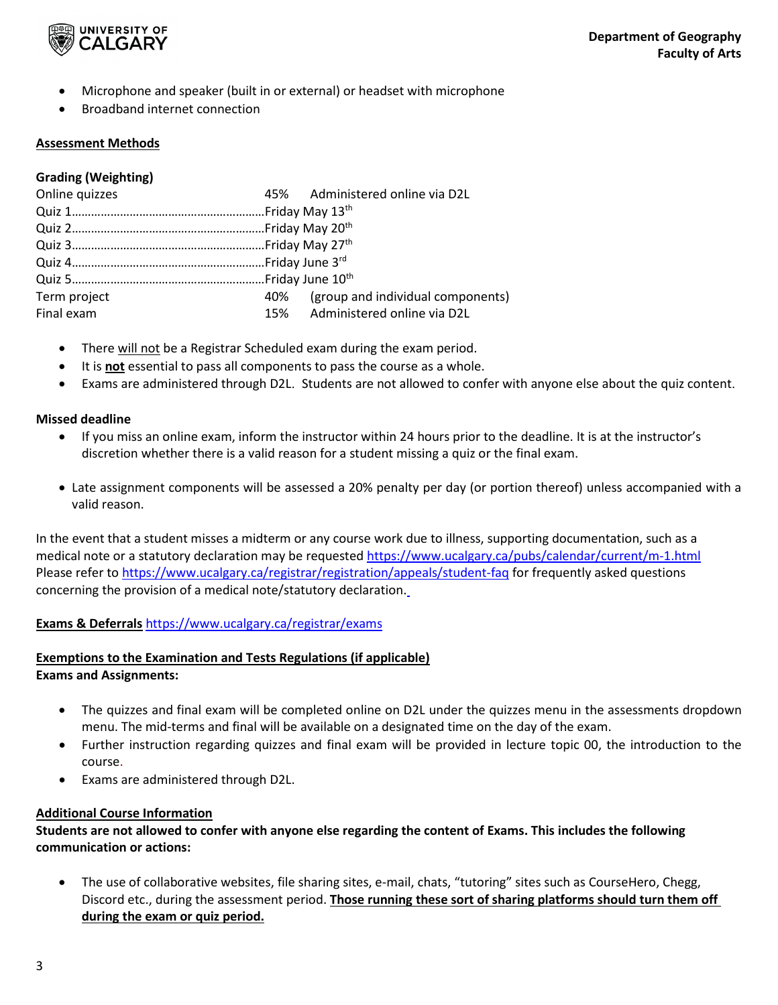

- Microphone and speaker (built in or external) or headset with microphone
- Broadband internet connection

# **Assessment Methods**

# **Grading (Weighting)**

| Online quizzes | 45% Administered online via D2L       |
|----------------|---------------------------------------|
|                |                                       |
|                |                                       |
|                |                                       |
|                |                                       |
|                |                                       |
| Term project   | 40% (group and individual components) |
| Final exam     | 15% Administered online via D2L       |
|                |                                       |

- There will not be a Registrar Scheduled exam during the exam period.
- It is **not** essential to pass all components to pass the course as a whole.
- Exams are administered through D2L. Students are not allowed to confer with anyone else about the quiz content.

## **Missed deadline**

- If you miss an online exam, inform the instructor within 24 hours prior to the deadline. It is at the instructor's discretion whether there is a valid reason for a student missing a quiz or the final exam.
- Late assignment components will be assessed a 20% penalty per day (or portion thereof) unless accompanied with a valid reason.

In the event that a student misses a midterm or any course work due to illness, supporting documentation, such as a medical note or a statutory declaration may be requested<https://www.ucalgary.ca/pubs/calendar/current/m-1.html> Please refer to<https://www.ucalgary.ca/registrar/registration/appeals/student-faq> for frequently asked questions concerning the provision of a medical note/statutory declaration.

# **Exams & Deferrals** <https://www.ucalgary.ca/registrar/exams>

# **Exemptions to the Examination and Tests Regulations (if applicable)**

**Exams and Assignments:** 

- The quizzes and final exam will be completed online on D2L under the quizzes menu in the assessments dropdown menu. The mid-terms and final will be available on a designated time on the day of the exam.
- Further instruction regarding quizzes and final exam will be provided in lecture topic 00, the introduction to the course.
- Exams are administered through D2L.

# **Additional Course Information**

**Students are not allowed to confer with anyone else regarding the content of Exams. This includes the following communication or actions:**

• The use of collaborative websites, file sharing sites, e-mail, chats, "tutoring" sites such as CourseHero, Chegg, Discord etc., during the assessment period. **Those running these sort of sharing platforms should turn them off during the exam or quiz period.**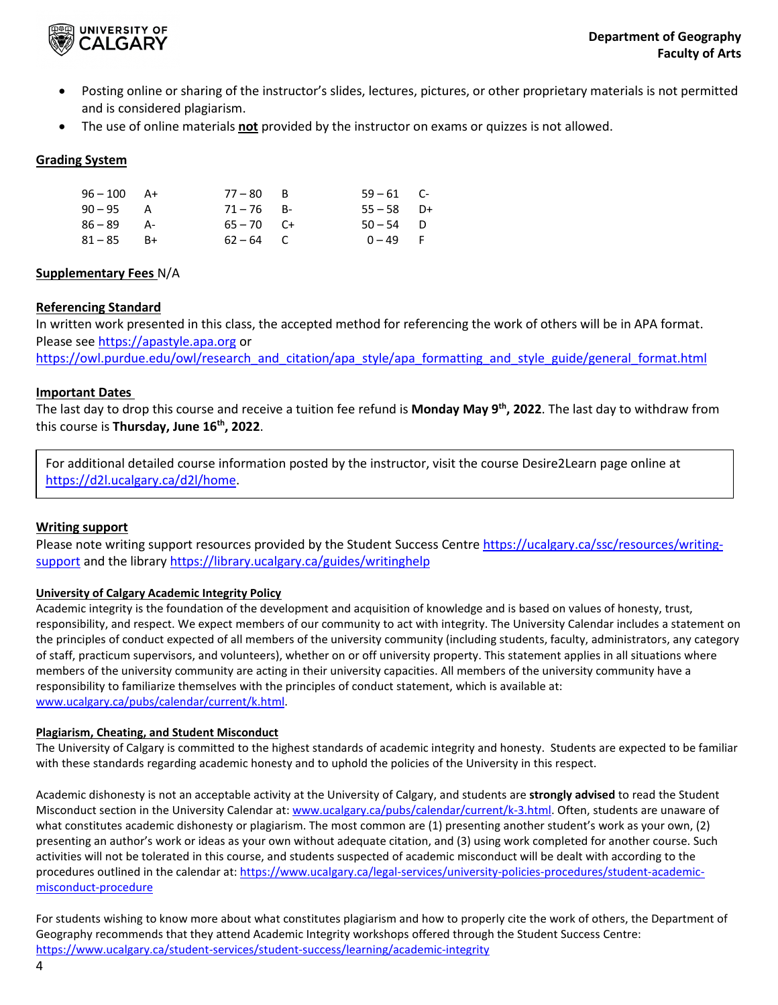

- Posting online or sharing of the instructor's slides, lectures, pictures, or other proprietary materials is not permitted and is considered plagiarism.
- The use of online materials **not** provided by the instructor on exams or quizzes is not allowed.

# **Grading System**

| $96 - 100$ A+ | $77 - 80$ B  | $59 - 61$ C- |  |
|---------------|--------------|--------------|--|
| $90 - 95$ A   | $71 - 76$ B- | $55 - 58$ D+ |  |
| $86 - 89$ A-  | $65 - 70$ C+ | $50 - 54$ D  |  |
| $81 - 85$ B+  | $62 - 64$ C  | $0 - 49$ F   |  |

## **Supplementary Fees** N/A

# **Referencing Standard**

In written work presented in this class, the accepted method for referencing the work of others will be in APA format. Please see [https://apastyle.apa.org](https://apastyle.apa.org/) or

[https://owl.purdue.edu/owl/research\\_and\\_citation/apa\\_style/apa\\_formatting\\_and\\_style\\_guide/general\\_format.html](https://owl.purdue.edu/owl/research_and_citation/apa_style/apa_formatting_and_style_guide/general_format.html)

## **Important Dates**

The last day to drop this course and receive a tuition fee refund is **Monday May 9th, 2022**. The last day to withdraw from this course is **Thursday, June 16th, 2022**.

For additional detailed course information posted by the instructor, visit the course Desire2Learn page online at [https://d2l.ucalgary.ca/d2l/home.](https://d2l.ucalgary.ca/d2l/home)

# **Writing support**

Please note writing support resources provided by the Student Success Centre [https://ucalgary.ca/ssc/resources/writing](https://ucalgary.ca/ssc/resources/writing-support)[support](https://ucalgary.ca/ssc/resources/writing-support) and the library<https://library.ucalgary.ca/guides/writinghelp>

## **University of Calgary Academic Integrity Policy**

Academic integrity is the foundation of the development and acquisition of knowledge and is based on values of honesty, trust, responsibility, and respect. We expect members of our community to act with integrity. The University Calendar includes a statement on the principles of conduct expected of all members of the university community (including students, faculty, administrators, any category of staff, practicum supervisors, and volunteers), whether on or off university property. This statement applies in all situations where members of the university community are acting in their university capacities. All members of the university community have a responsibility to familiarize themselves with the principles of conduct statement, which is available at: [www.ucalgary.ca/pubs/calendar/current/k.html.](http://www.ucalgary.ca/pubs/calendar/current/k.html)

## **Plagiarism, Cheating, and Student Misconduct**

The University of Calgary is committed to the highest standards of academic integrity and honesty. Students are expected to be familiar with these standards regarding academic honesty and to uphold the policies of the University in this respect.

Academic dishonesty is not an acceptable activity at the University of Calgary, and students are **strongly advised** to read the Student Misconduct section in the University Calendar at[: www.ucalgary.ca/pubs/calendar/current/k-3.html.](http://www.ucalgary.ca/pubs/calendar/current/k-3.html) Often, students are unaware of what constitutes academic dishonesty or plagiarism. The most common are (1) presenting another student's work as your own, (2) presenting an author's work or ideas as your own without adequate citation, and (3) using work completed for another course. Such activities will not be tolerated in this course, and students suspected of academic misconduct will be dealt with according to the procedures outlined in the calendar at: [https://www.ucalgary.ca/legal-services/university-policies-procedures/student-academic](https://www.ucalgary.ca/legal-services/university-policies-procedures/student-academic-misconduct-procedure)[misconduct-procedure](https://www.ucalgary.ca/legal-services/university-policies-procedures/student-academic-misconduct-procedure)

For students wishing to know more about what constitutes plagiarism and how to properly cite the work of others, the Department of Geography recommends that they attend Academic Integrity workshops offered through the Student Success Centre: <https://www.ucalgary.ca/student-services/student-success/learning/academic-integrity>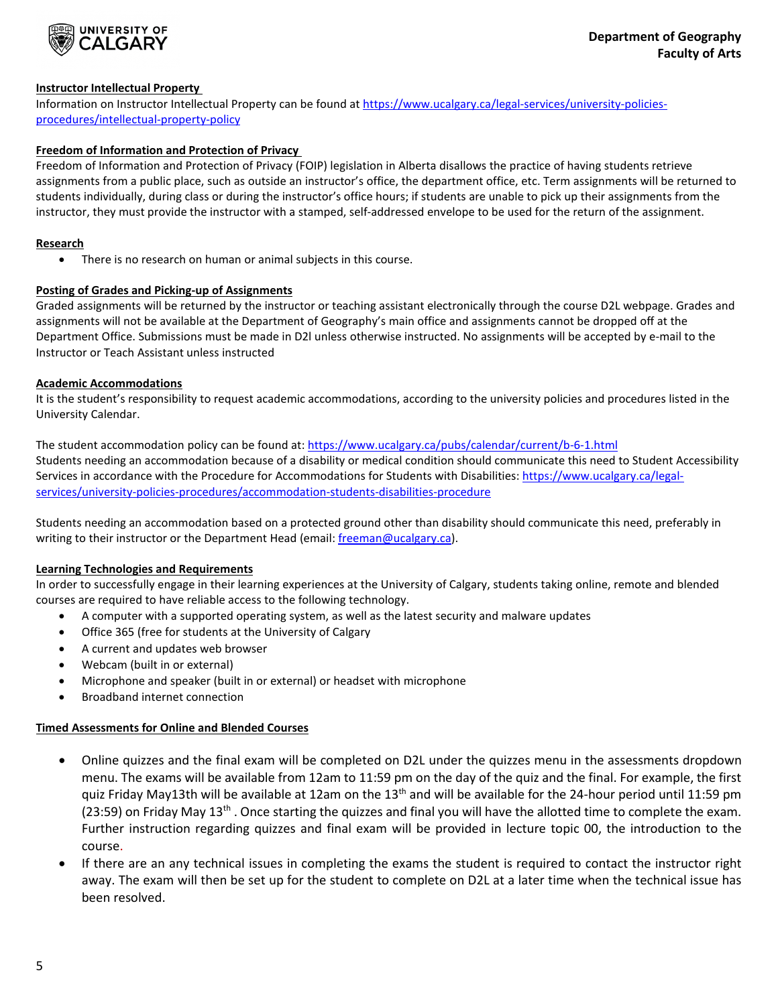

## **Instructor Intellectual Property**

Information on Instructor Intellectual Property can be found a[t https://www.ucalgary.ca/legal-services/university-policies](https://www.ucalgary.ca/legal-services/university-policies-procedures/intellectual-property-policy)[procedures/intellectual-property-policy](https://www.ucalgary.ca/legal-services/university-policies-procedures/intellectual-property-policy)

## **Freedom of Information and Protection of Privacy**

Freedom of Information and Protection of Privacy (FOIP) legislation in Alberta disallows the practice of having students retrieve assignments from a public place, such as outside an instructor's office, the department office, etc. Term assignments will be returned to students individually, during class or during the instructor's office hours; if students are unable to pick up their assignments from the instructor, they must provide the instructor with a stamped, self-addressed envelope to be used for the return of the assignment.

#### **Research**

• There is no research on human or animal subjects in this course.

#### **Posting of Grades and Picking-up of Assignments**

Graded assignments will be returned by the instructor or teaching assistant electronically through the course D2L webpage. Grades and assignments will not be available at the Department of Geography's main office and assignments cannot be dropped off at the Department Office. Submissions must be made in D2l unless otherwise instructed. No assignments will be accepted by e-mail to the Instructor or Teach Assistant unless instructed

#### **Academic Accommodations**

It is the student's responsibility to request academic accommodations, according to the university policies and procedures listed in the University Calendar.

The student accommodation policy can be found at[: https://www.ucalgary.ca/pubs/calendar/current/b-6-1.html](https://www.ucalgary.ca/pubs/calendar/current/b-6-1.html) Students needing an accommodation because of a disability or medical condition should communicate this need to Student Accessibility Services in accordance with the Procedure for Accommodations for Students with Disabilities[: https://www.ucalgary.ca/legal](https://www.ucalgary.ca/legal-services/university-policies-procedures/accommodation-students-disabilities-procedure)[services/university-policies-procedures/accommodation-students-disabilities-procedure](https://www.ucalgary.ca/legal-services/university-policies-procedures/accommodation-students-disabilities-procedure)

Students needing an accommodation based on a protected ground other than disability should communicate this need, preferably in writing to their instructor or the Department Head (email[: freeman@ucalgary.ca\)](mailto:freeman@ucalgary.ca).

## **Learning Technologies and Requirements**

In order to successfully engage in their learning experiences at the University of Calgary, students taking online, remote and blended courses are required to have reliable access to the following technology.

- A computer with a supported operating system, as well as the latest security and malware updates
- Office 365 (free for students at the University of Calgary
- A current and updates web browser
- Webcam (built in or external)
- Microphone and speaker (built in or external) or headset with microphone
- Broadband internet connection

## **Timed Assessments for Online and Blended Courses**

- Online quizzes and the final exam will be completed on D2L under the quizzes menu in the assessments dropdown menu. The exams will be available from 12am to 11:59 pm on the day of the quiz and the final. For example, the first quiz Friday May13th will be available at 12am on the 13<sup>th</sup> and will be available for the 24-hour period until 11:59 pm (23:59) on Friday May  $13<sup>th</sup>$ . Once starting the quizzes and final you will have the allotted time to complete the exam. Further instruction regarding quizzes and final exam will be provided in lecture topic 00, the introduction to the course.
- If there are an any technical issues in completing the exams the student is required to contact the instructor right away. The exam will then be set up for the student to complete on D2L at a later time when the technical issue has been resolved.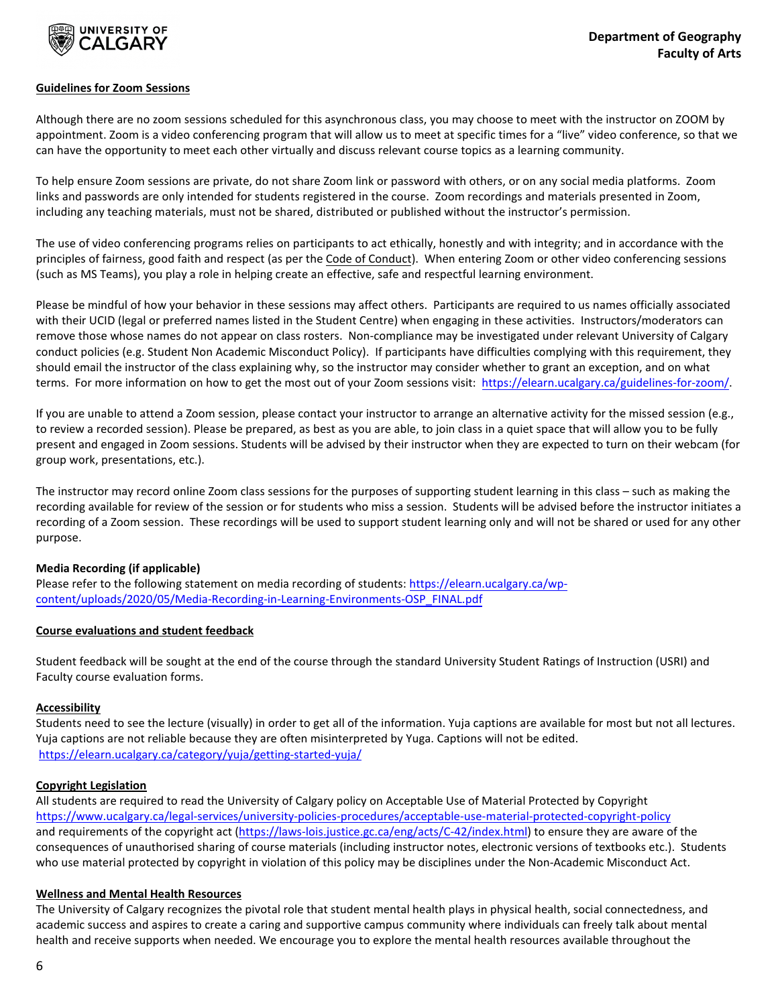

#### **Guidelines for Zoom Sessions**

Although there are no zoom sessions scheduled for this asynchronous class, you may choose to meet with the instructor on ZOOM by appointment. Zoom is a video conferencing program that will allow us to meet at specific times for a "live" video conference, so that we can have the opportunity to meet each other virtually and discuss relevant course topics as a learning community.

To help ensure Zoom sessions are private, do not share Zoom link or password with others, or on any social media platforms. Zoom links and passwords are only intended for students registered in the course. Zoom recordings and materials presented in Zoom, including any teaching materials, must not be shared, distributed or published without the instructor's permission.

The use of video conferencing programs relies on participants to act ethically, honestly and with integrity; and in accordance with the principles of fairness, good faith and respect (as per the Code of Conduct). When entering Zoom or other video conferencing sessions (such as MS Teams), you play a role in helping create an effective, safe and respectful learning environment.

Please be mindful of how your behavior in these sessions may affect others. Participants are required to us names officially associated with their UCID (legal or preferred names listed in the Student Centre) when engaging in these activities. Instructors/moderators can remove those whose names do not appear on class rosters. Non-compliance may be investigated under relevant University of Calgary conduct policies (e.g. Student Non Academic Misconduct Policy). If participants have difficulties complying with this requirement, they should email the instructor of the class explaining why, so the instructor may consider whether to grant an exception, and on what terms. For more information on how to get the most out of your Zoom sessions visit: [https://elearn.ucalgary.ca/guidelines-for-zoom/.](https://elearn.ucalgary.ca/guidelines-for-zoom/)

If you are unable to attend a Zoom session, please contact your instructor to arrange an alternative activity for the missed session (e.g., to review a recorded session). Please be prepared, as best as you are able, to join class in a quiet space that will allow you to be fully present and engaged in Zoom sessions. Students will be advised by their instructor when they are expected to turn on their webcam (for group work, presentations, etc.).

The instructor may record online Zoom class sessions for the purposes of supporting student learning in this class – such as making the recording available for review of the session or for students who miss a session. Students will be advised before the instructor initiates a recording of a Zoom session. These recordings will be used to support student learning only and will not be shared or used for any other purpose.

## **Media Recording (if applicable)**

Please refer to the following statement on media recording of students: [https://elearn.ucalgary.ca/wp](https://elearn.ucalgary.ca/wp-content/uploads/2020/05/Media-Recording-in-Learning-Environments-OSP_FINAL.pdf)[content/uploads/2020/05/Media-Recording-in-Learning-Environments-OSP\\_FINAL.pdf](https://elearn.ucalgary.ca/wp-content/uploads/2020/05/Media-Recording-in-Learning-Environments-OSP_FINAL.pdf)

#### **Course evaluations and student feedback**

Student feedback will be sought at the end of the course through the standard University Student Ratings of Instruction (USRI) and Faculty course evaluation forms.

## **Accessibility**

Students need to see the lecture (visually) in order to get all of the information. Yuja captions are available for most but not all lectures. Yuja captions are not reliable because they are often misinterpreted by Yuga. Captions will not be edited. <https://elearn.ucalgary.ca/category/yuja/getting-started-yuja/>

#### **Copyright Legislation**

All students are required to read the University of Calgary policy on Acceptable Use of Material Protected by Copyright <https://www.ucalgary.ca/legal-services/university-policies-procedures/acceptable-use-material-protected-copyright-policy> and requirements of the copyright act [\(https://laws-lois.justice.gc.ca/eng/acts/C-42/index.html\)](https://laws-lois.justice.gc.ca/eng/acts/C-42/index.html) to ensure they are aware of the consequences of unauthorised sharing of course materials (including instructor notes, electronic versions of textbooks etc.). Students who use material protected by copyright in violation of this policy may be disciplines under the Non-Academic Misconduct Act.

#### **Wellness and Mental Health Resources**

The University of Calgary recognizes the pivotal role that student mental health plays in physical health, social connectedness, and academic success and aspires to create a caring and supportive campus community where individuals can freely talk about mental health and receive supports when needed. We encourage you to explore the mental health resources available throughout the